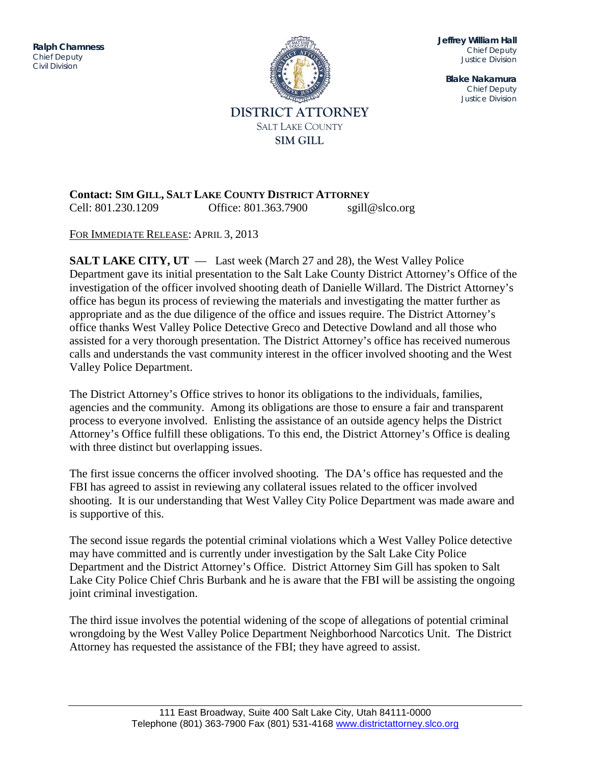ITENSISTEM DIVISION DIVISION DI SULTAN DI DIVISION DI DIVISION DI DIVISION DI DIVISION DI DIVISION DI DIVISION<br>Justice di Division di Division di Division di Division di Division di Division di Division di Division di Div **Ralph Chamness**  *Chief Deputy Civil Division*



**Jeffrey William Hall** *Chief Deputy Justice Division*

**Blake Nakamura** *Chief Deputy Justice Division*

## **Contact: SIM GILL, SALT LAKE COUNTY DISTRICT ATTORNEY** Cell: 801.230.1209 Office: 801.363.7900 sgill@slco.org

FOR IMMEDIATE RELEASE: APRIL 3, 2013

**SALT LAKE CITY, UT** — Last week (March 27 and 28), the West Valley Police Department gave its initial presentation to the Salt Lake County District Attorney's Office of the investigation of the officer involved shooting death of Danielle Willard. The District Attorney's office has begun its process of reviewing the materials and investigating the matter further as appropriate and as the due diligence of the office and issues require. The District Attorney's office thanks West Valley Police Detective Greco and Detective Dowland and all those who assisted for a very thorough presentation. The District Attorney's office has received numerous calls and understands the vast community interest in the officer involved shooting and the West Valley Police Department.

The District Attorney's Office strives to honor its obligations to the individuals, families, agencies and the community. Among its obligations are those to ensure a fair and transparent process to everyone involved. Enlisting the assistance of an outside agency helps the District Attorney's Office fulfill these obligations. To this end, the District Attorney's Office is dealing with three distinct but overlapping issues.

The first issue concerns the officer involved shooting. The DA's office has requested and the FBI has agreed to assist in reviewing any collateral issues related to the officer involved shooting. It is our understanding that West Valley City Police Department was made aware and is supportive of this.

The second issue regards the potential criminal violations which a West Valley Police detective may have committed and is currently under investigation by the Salt Lake City Police Department and the District Attorney's Office. District Attorney Sim Gill has spoken to Salt Lake City Police Chief Chris Burbank and he is aware that the FBI will be assisting the ongoing joint criminal investigation.

The third issue involves the potential widening of the scope of allegations of potential criminal wrongdoing by the West Valley Police Department Neighborhood Narcotics Unit. The District Attorney has requested the assistance of the FBI; they have agreed to assist.